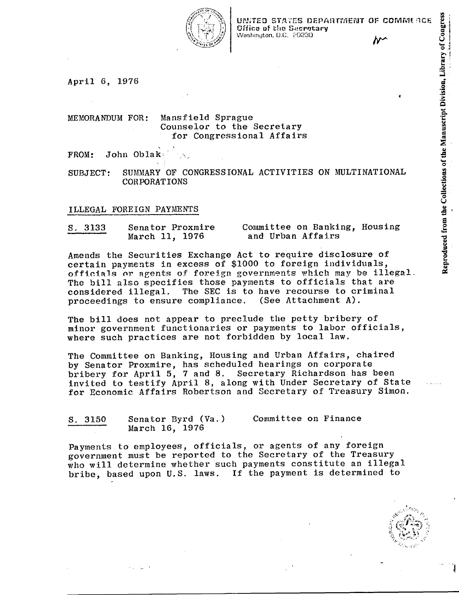

UNITED STATES DEPARTMENT OF COMMURCE Office of the Secretary Washington, D.C. 20230

s.

Library of

anuscript Divisio

~

tions of th

ಕ

duced from the

e Q.

~

April 6, 1976

MEMORANDUM FOR: Mansfield Sprague Counselor to the Secretary for Congressional Affairs

 $\texttt{FROM:}$  John Oblak,  $\mathbb{R}_{\geq 0}$ 

SUBJECT: SUMMARY OF CONGRESSIONAL ACTIVITIES ON MULTINATIONAL CORPORATIONS

### ILLEGAL FOREIGN PAYMENTS

| S. 3133                                                    | Senator Proxmire |  |
|------------------------------------------------------------|------------------|--|
| discussion of the data and all or address to computer with | March 11, 1976   |  |

 $\mathbf{r}$ 

Committee on Banking, Housing and Urban Affairs

Amends the Securities Exchange Act to require disclosure of certain payments in excess of \$1000 to foreign individuals, officials or agents of foreign governments which may be illegal. The bill also specifies those payments to officials that are considered illegal. The SEC is to have recourse to criminal<br>proceedings to ensure compliance. (See Attachment A). proceedings to ensure compliance.

The bill does not appear to preclude the petty bribery of minor government functionaries or payments to labor officials, where such practices are not forbidden by local law.

The Committee on Banking, Housing and Urban Affairs, chaired by Senator Proxmire, has scheduled hearings on corporate bribery for April 5, 7 and 8. Secretary Richardson has been invited to testify April 8, along with Under Secretary of State for Economic Affairs Robertson and Secretary of Treasury Simon.

S. 3150 Senator Byrd (Va.) March 16, 1976 Committee on Finance

Payments to employees, officials, or agents of any foreign government must be reported to the Secretary of the Treasury who will determine whether such payments constitute an illegal bribe, based upon U.S. laws. If the payment is determined to

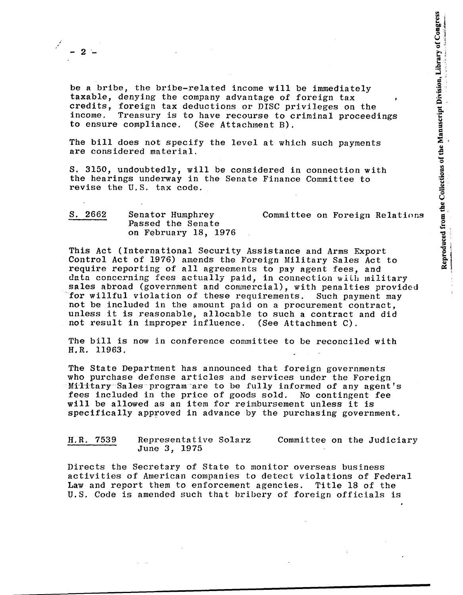*i* ,

be a bribe, the bribe-related income will be immediately taxable, denying the company advantage of foreign tax credits, foreign tax deductions or DISC privileges on the Treasury is to have recourse to criminal proceedings to ensure compliance. (See Attachment B).

The bill does not specify the level at which such payments are considered material.

S. 3150, undoubtedly, will be considered in connection with the hearings underway in the Senate Finance Committee to revise the U.S. tax code.

| S. 2662<br><b>STANDARD COMPANY AND ARRANGEMENT</b> | Senator Humphrey     | Committee on Foreign Relations |
|----------------------------------------------------|----------------------|--------------------------------|
|                                                    | Passed the Senate    |                                |
|                                                    | on February 18, 1976 |                                |

This Act (International Security Assistance and Arms Export Control Act of 1976) amends the Foreign Military Sales Act to require reporting of all agreements to pay agent fees, and data concerning fees actually paid, in connection with military sales abroad (government and commercial), with penalties provided for willful violation of these requirements. Such payment may not be included in the amount paid on a procurement contract, unless it is reasonable, allocable to such a contract and did not result in improper influence. (See Attachment C).

The bill is now in conference committee to be reconciled with H.R. 11963.

The State Department has announced that foreign governments who purchase defense articles and services under the Foreign Military Sales program are to be fully informed of any agent's fees included in the price of goods sold. No contingent fee will be allowed as an item for reimbursement unless it is specifically approved in advance by the purchasing government.

| H.R. 7539                                                       | Representative Solarz |  |  | Committee on the Judiciary |
|-----------------------------------------------------------------|-----------------------|--|--|----------------------------|
| ومسامي معازات مرمزود بزبر ويسالبان وزعدته بالمواسخ فعالاته ومخا | June 3, 1975          |  |  |                            |

Directs the Secretary of State to monitor overseas business activities of American companies to detect violations of Federal Law and report them to enforcement agencies. Title 18 of the U.S. Code is amended such that bribery of foreign officials is

**Contract**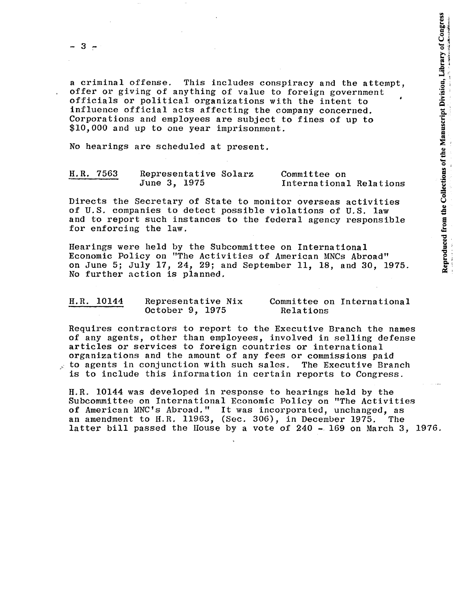$3 -$ 

a criminal offense. This includes conspiracy and the attempt, offer or giving of anything of value to foreign government officials or political organizations with the intent to influence official acts affecting the company concerned. Corporations and employees are subject to fines of up to \$10,000 and up to one year imprisonment.

No hearings are scheduled at present.

| H.R. 7563                                                                                                            | Representative Solarz | <b>Committee on</b>     |
|----------------------------------------------------------------------------------------------------------------------|-----------------------|-------------------------|
| dividend and completely and completely and contained and the contact of the contact of the contact of the contact of | June 3, 1975          | International Relations |

Directs the Secretary of State to monitor overseas activities of U.S. companies to detect possible violations of U.S. law and to report such instances to the federal agency responsible for enforcing the law.

Hearings were held by the Subcommittee on International Economic Policy on "The Activities of American MNCs Abroad" on June 5; July 17, 24, 29; and September 11, 18, and 30, 1975. No further action is planned.

| H.R. 10144 | Representative Nix | Committee on International |
|------------|--------------------|----------------------------|
|            | October 9, 1975    | Relations                  |

Requires contractors to report to the Executive Branch the names of any agents, other than employees, involved in selling defense articles or services to foreign countries or international organizations and the amount of any fees or commissions paid to agents in conjunction with such sales. The Executive Branch is to include this information in certain reports to Congress.

H.R. 10144 was developed in response to hearings held by the Subcommittee on International Economic Policy on "The Activities of American MNC's Abroad." It was incorporated, unchanged, as an amendment to H.R. 11963, (Sec. 306), in December 1975. The latter bill passed the House by a vote of 240 - 169 on March 3, 1976.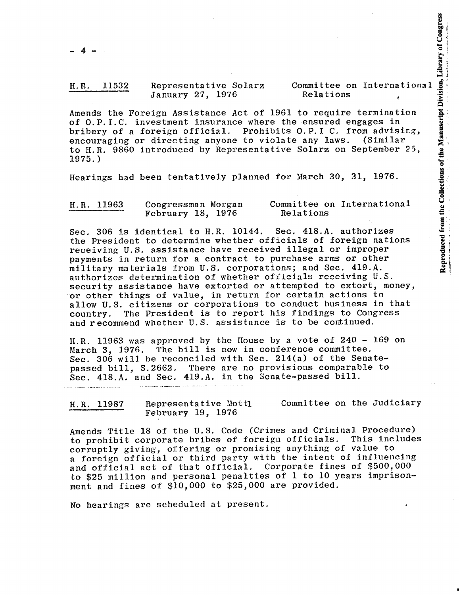### H.H. 11532 Representative Solarz January 27, 1976 Relations

Committee on International<br>
Relations<br>
Leo require termination<br>
Leo require termination<br>
e ensured engages in<br>
8. O.P.I C. from advising,<br>
e any laws. (Similar<br>
Solarz on September 25,<br>
March 30, 31, 1976.<br>
March 30, 31, 1 Amends the Foreign Assistance Act of 1961 to require termination of O.P.I.C. investment insurance where the ensured engages in bribery of a foreign official. Prohibits O.P.I C. from advising,<br>encouraging or directing anyone to violate any laws. (Similar encouraging or directing anyone to violate any laws. to H.R. 9860 introduced by Representative Solarz on September 25, 1975.)

Hearings had been tentatively planned for March 30, 31, 1976.

| H.R. 11963 | Congressman Morgan | Committee on International |
|------------|--------------------|----------------------------|
|            | February 18, 1976  | Relations                  |

Sec. 306 is identical to H.R. 10144. Sec. 4l8.A. authorizes the President to determine whether officials of foreign nations receiving U.S. assistance have received illegal or improper payments in return for a contract to purchase arms or other military materials from U.S. corporations; and Sec. 4l9.A. authorizes determination of whether officials receiving U.S. security assistance have extorted or attempted to extort, money, or other things of value, in return for certain actions to allow U.S. citizens or corporations to conduct business in that country. The President is to report his findings to Congress and recommend whether U. S. assistance is to be continued.

H.R. 11963 was approved by the House by a vote of 240 - 169 on March 3, 1976. The bill is now in conference committee. Sec. 306 will be reconciled with Sec. 214(a) of the Senatepassed bill, S.2662. There are no provisions comparable to Sec. 4l8.A. and Sec. 419.A. in the Senate-passed bill.

H.R. 11987 Representative Mottl February 19, 1976 Committee on the Judiciary

Amends Title 18 of the U.S. Code (Crimes and Criminal Procedure)<br>to probibit corporate bribes of foreign officials. This includes to prohibit corporate bribes of foreign officials. corruptly giving, offering or promising anything of value to a foreign official or third party with the intent of influencing and official act of that official. Corporate fines of \$500,000 to \$25 million and personal penalties of 1 to 10 years imprisonment and fines of \$10,000 to \$25,000 are provided.

No hearings arc scheduled at present.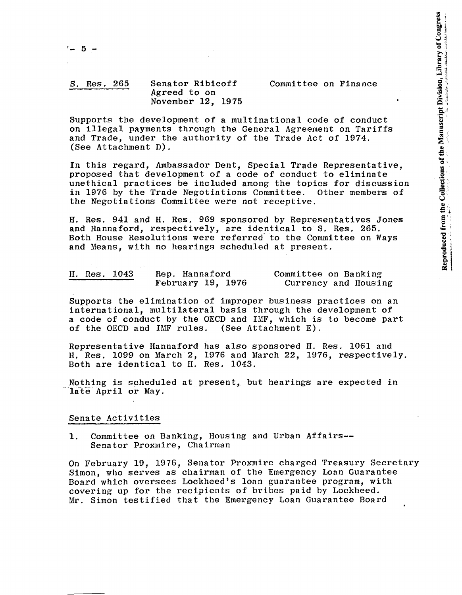## S. Res. 265 Senator Ribicoff Agreed to on November 12, 1975

Supports the development of a multinational code of conduct on illegal payments through the General Agreement on Tariffs and Trade, under the authority of the Trade Act of 1974. (See Attachment D).

Committee on Finance

In this regard, Ambassador Dent, Special Trade Representative, proposed that development of a code of conduct to eliminate unethical practices be included among the topics for discussion in 1976 by the Trade Negotiations Committee. Other members of the Negotiations Committee were not receptive.

H. Res. 941 and H. Res. 969 sponsored by Representatives Jones and Hannaford, respectively, are identical to S. Res. 265. Both House Resolutions were referred- to the Committee on Ways and Means, with no hearings scheduled at present.

| H. Res. 1043                                                                     |  | Rep. Hannaford    | Committee on Banking |  |
|----------------------------------------------------------------------------------|--|-------------------|----------------------|--|
| d'une particularità del qual del contenut del component e contenut del contenut. |  | February 19, 1976 | Currency and Housing |  |

Supports the elimination of improper business practices on an international, multilateral basis through the development of a code of conduct by the OECD and IMF, which is to become part of the OECD and IMF rules. (See Attachment E). of the OECD and IMF rules.

Representative Hannaford has also sponsored H. Res. 1061 and H. Res. 1099 on March 2, 1976 and March 22, 1976, respectively. Both are identical to H. Res. 1043.

Nothing is scheduled at present, but hearings are expected in late April or May.

### Senate Activities

1. Committee on Banking, Housing and Urban Affairs-- Senator Proxmire, Chairman

On February 19, 1976, Senator Proxmire charged Treasury Secretary Simon, who serves as chairman of the Emergency Loan Guarantee Board which oversees Lockheed's loan guarantee program, with covering up for the recipients of bribes paid by Lockheed. Mr. Simon testified that the Emergency Loan GUarantee Board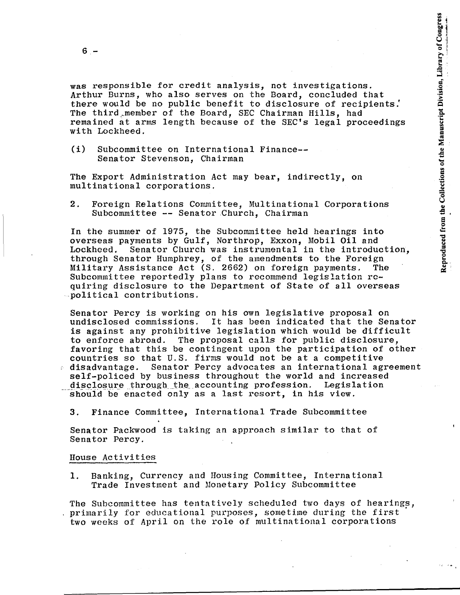$6 -$ 

was responsible for credit analysis, not investigations. Arthur Burns, who also serves on the Board, concluded that there would be no public benefit to disclosure of recipients.' The third member of the Board, SEC Chairman Hills, had remained at arms length because of the SEC's legal proceedings with Lockheed.

(i) Subcommittee on International Finance-- Senator Stevenson, Chairman

The Export Administration Act may bear, indirectly, on multinational corporations.

2. Foreign Relations Committee, Multinational Corporations Subcommittee **--** Senator Church, Chairman

In the summer of 1975, the Subcommittee held hearings into overseas payments by Gulf, Northrop, Exxon, Mobil Oil and Senator Church was instrumental in the introduction, through Senator Humphrey, of the amendments to the Foreign Military Assistance Act (S. 2662) on foreign payments. The Subcommittee reportedly plans to recommend legislation requiring disclosure to the Department of State of all overseas -political contributions.

Senator Percy is working on his own legislative proposal on undisclosed commissions. It has been indicated that the Senator is against any prohibitive legislation which would be difficult to enforce abroad. The proposal calls for public disclosure, favoring that this be contingent upon the participation of other countries so that U.S. firms would not be at a competitive disadvantage. Senator Percy advocates an international agreement self-policed by business throughout the world and increased disclosure through the accounting profession. Legislation should be enacted only as a last resort, in his view.

3. Finance Committee, International Trade Subcommittee

Senator Packwood is taking an approach similar to that of Senator Percy.

### House Activities

1. Banking, Currency and Housing Committee, International Trade Investment and Monetary Policy Subcommittee

The Subcommittee has tentatively scheduled two days of hearings, primarily for educational purposes, sometime during the first' two weeks of April on the role of multinational corporations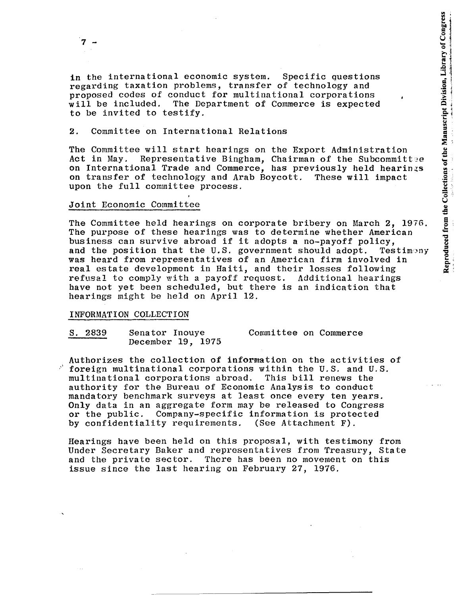in the international economic system. Specific questions regarding taxation problems, transfer of technology and proposed codes of conduct for multinational corporations will be included. The Department of Commerce is expected to be invited to testify.

### 2. Committee on International Relations

The Committee will start hearings on the Export Administration<br>Act in May. Representative Bingham, Chairman of the Subcommit Representative Bingham, Chairman of the Subcommittee on International Trade and Commerce, has previously held hearings on transfer of technology and Arab Boycott. These will impact upon the full committee process.

### Joint Economic Committee

The Committee held hearings on corporate bribery on March 2, 1976. The purpose of these hearings was to determine whether American business can survive abroad if it adopts a no-payoff policy,<br>and the position that the U.S. government should adopt. Testimony and the position that the U.S. government should adopt. was heard from representatives of an American firm involved in real estate development in Haiti, and their losses following refusal to comply with a payoff request. Additional hearings have not yet been scheduled, but there is an indication that hearings might be held on April 12.

### INFORMATION COLLECTION

S. 2839 Senator Inouye December 19, 1975 Committee on Commerce

Authorizes the collection of information on the activities of  $\beta$  foreign multinational corporations within the U.S. and U.S.<br>multinational corporations abroad. This bill renews the multinational corporations abroad. authority for the Bureau of Economic Analysis to conduct mandatory benchmark surveys at least once every ten years. Only data in an aggregate form may be released to Congress or the public. Company-specific information is protected by confidentiality requirements. (See Attachment F).

Hearings have been held on this proposal, with testimony from Under Secretary Baker and representatives from Treasury, State and the private sector. There has been no movement on this issue since the last hearing on February 27, 1976.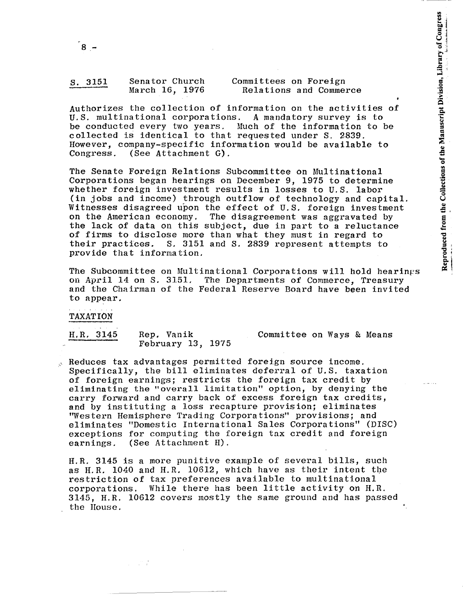| S. 3151 | Senator Church | Committees on Foreign  |
|---------|----------------|------------------------|
|         | March 16, 1976 | Relations and Commerce |

Authorizes the collection of information on the activities of U.S. multinational corporations. A mandatory survey is to be conducted every two years. Much of the information to be collected is identical to that requested under S. 2839. However, company-specific information would be available to (See Attachment G).

The Senate Foreign Relations Subcommittee on Multinational Corporations began hearings on December 9, 1975 to determine whether foreign investment results in losses to U.S. labor (in jobs and income) through outflow of technology and capital. Witnesses disagreed upon the effect of U.S. foreign investment<br>on the American economy. The disagreement was aggravated by The disagreement was aggravated by the lack of data on this subject, due in part to a reluctance of firms to disclose more than what they must in regard to their practices. S. 3151 and S. 2839 represent attempts to provide that information. .

The Subcommittee on Multinational Corporations will hold hearings on April 14 on S. 3151. The Departments of Commerce, Treasury and the Chairman of the Federal Reserve Board have been invited to appear.

TAXATION

H.R, 3145 Rep. Yanik February 13, 1975 Committee on Ways & Means

Reduces tax advantages permitted foreign source income. Specifically, the bill eliminates deferral of U.S. taxation of foreign earnings; restricts the foreign tax credit by eliminating the "overall limitation" option, by denying the carry forward and carry back of excess foreign tax credits, and by instituting a loss recapture provision; eliminates "Western Hemisphere Trading Corporations" provisions; and eliminates "Domestic International Sales Corporations" (DISC) exceptions for computing the foreign tax credit and foreign earnings. (See Attachment H).

H.R. 3145 is a more punitive example of several bills, such as H.R, 1040 and H.R. 10612, which have as their intent tbe restriction of tax preferences available to multinational corporations. While there has been little activity on H.R. 3145, H.R. 10612 covers mostly the same ground and has passed the House.

 $\omega \sim 20\%$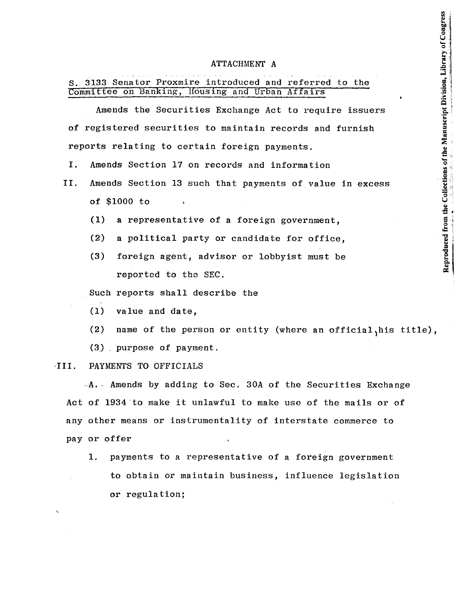# Reproduced from the Collections of the Manuscript Division, Library of Congress

### ATTACHMENT A

# S. 3133 Senator Proxmire introduced and referred to the Committee on Banking, Housing and Urban Affairs

Amends the Securities Exchange Act to require issuers of registered securities to maintain records and furnish reports relating to certain foreign payments.

- I. Amends Section 17 on records and information
- II. Amends Section 13 such that payments of value in excess of \$1000 to
	- (1) a representative of a foreign government,
	- (2) a political party or candidate for office,
	- (3) foreign agent, advisor or lobbyist must be reported to the SEC.

Such reports shall describe the

(1) value and date,

(2) name of the person or entity (where an official,his title),

(3) purpose of payment.

### III. PAYMENTS TO OFFICIALS

 $-A.$  Amends by adding to Sec. 30A of the Securities Exchange Act of 1934 'to make it unlawful to make use of the mails or of any other means or instrumentality of interstate commerce to payor offer

1. payments to a representative of a foreign government to obtain or maintain business, influence legislation or regulation;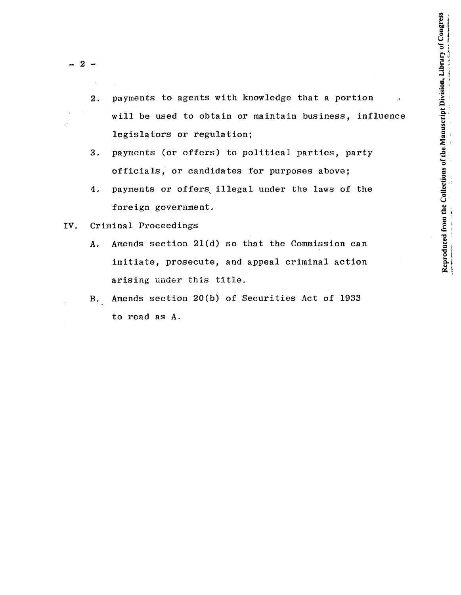$-2 -$ 

- 2. payments to agents with knowledge that a portion will be used to obtain or maintain business, influence legislators or regulation;
- 3. payments (or offers) to political parties, party officials, or candidates for purposes above;
- 4. payments or offers illegal under the laws of the foreign government.
- IV. Criminal Proceedings
	- A, Amends section 21(d) so that the Commission can initiate, prosecute, and appeal criminal action arising under this title.
	- B, Amends section 20(b) of Securities Act of 1933 to read as A.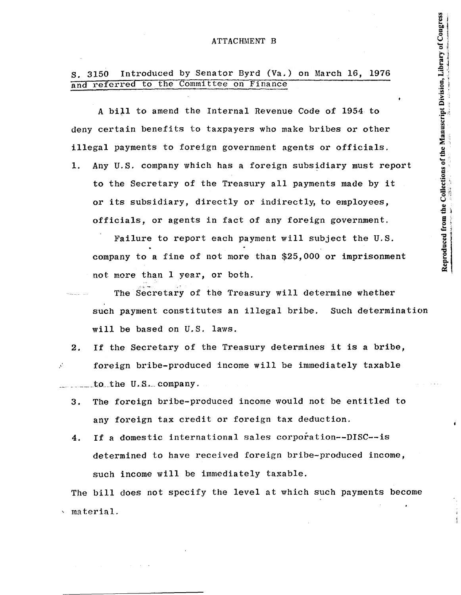### ATTACHMENT B

# S. 3150 Introduced by Senator Byrd (Va.) on March 16, 1976 and referred to the Committee on Finance

A bill to amend the Internal Revenue Code of 1954 to deny certain benefits to taxpayers who make bribes or other illegal payments to foreign government agents or officials.

1. Any U.S. company which has a foreign subsidiary must report to the Secretary of the Treasury all payments made by it or its subsidiary, directly or indirectly, to employees, officials, or agents in fact of any foreign government.

Reproduced from the Collections of the Manuscript Division, Library of Congress

Failure to report each payment will subject the U.S. company to a fine of not more than \$25,000 or imprisonment not more than 1 year, or both.

The Secretary of the Treasury will determine whether such payment constitutes an illegal bribe. Such determination will be based on U.S. laws.

2. If the Secretary of the Treasury determines it is a bribe,  $\mathcal{L}$  foreign bribe-produced income will be immediately taxable  $to$  the  $U.S.$  company.

- 3. The foreign bribe-produced income would not be entitled to any foreign tax credit or foreign tax deduction.
- 4. If a domestic international sales corporation--DISC--is determined to have received foreign bribe-produced income, such income will be immediately taxable.

The bill does not specify the level at which such payments become , material.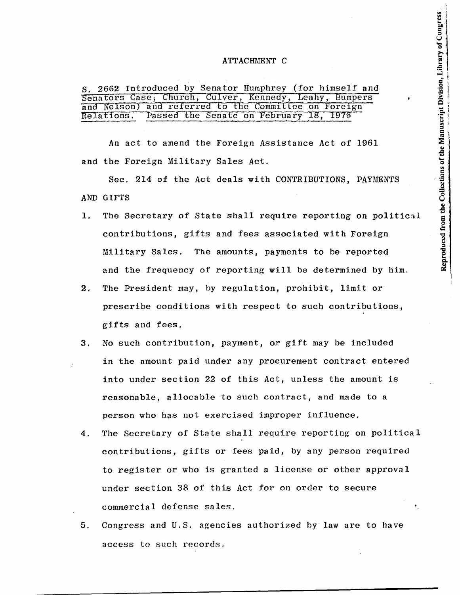### ATTACHMENT C

|  |  |  |  |  |  | S. 2662 Introduced by Senator Humphrey (for himself and |  |
|--|--|--|--|--|--|---------------------------------------------------------|--|
|  |  |  |  |  |  | Senators Case, Church, Culver, Kennedy, Leahy, Bumpers  |  |
|  |  |  |  |  |  | and Nelson) and referred to the Committee on Foreign    |  |
|  |  |  |  |  |  | Relations. Passed the Senate on February 18, 1976       |  |

An act to amend the Foreign Assistance Act of 1961 and the Foreign Military Sales Act.

Sec. 214 of the Act deals with CONTRIBUTIONS, PAYMENTS AND GIFTS

- 1. The Secretary of State shall require reporting on political contributions, gifts and fees associated with Foreign Military Sales. The amounts, payments to be reported and the frequency of reporting will be determined by him.
- 2. The President may, by regulation, prohibit, limit or prescribe conditions with respect to such contributions, gifts and fees.
- 3. No such contribution, payment, or gift may be included in the amount paid under any procurement contract entered into under section 22 of this Act, unless the amount is reasonable, allocable to such contract, and made to a person who has not exercised improper influence.
- 4. The Secretary of State shall require reporting on political contributions, gifts or fees paid, by any person required to register or who is granted a license or other approval under section 38 of this Act for on order to secure commercial defense sales.
- 5. Congress and U.S. agencies authorized by law are to have access to such records.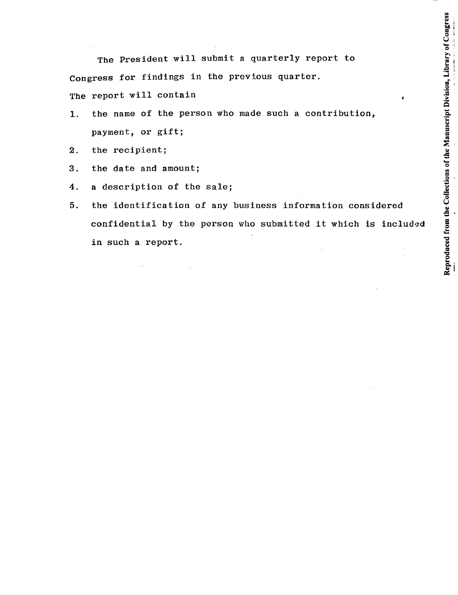The President will submit a quarterly report to Congress for findings in the previous quarter. The report will contain

- 1. the name of the person who made such a contribution, payment, or gift;
- 2. the recipient;
- 3. the date and amount;

 $\sim 12$ 

- 4. a description of the sale;
- 5. the identification of any business information considered confidential by the person who submitted it which is included in such a report.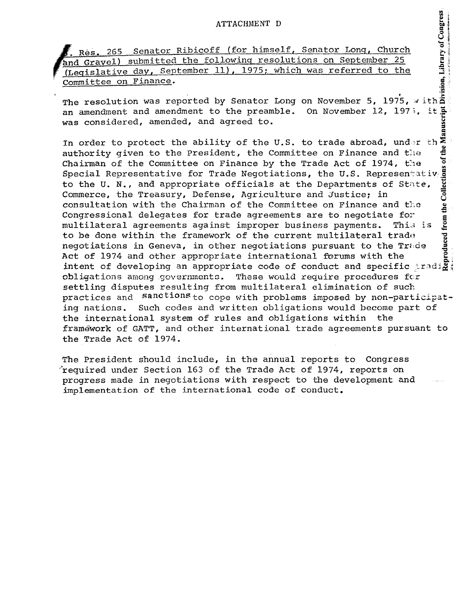. Res. 265 Senator Ribicoff (for himself, Senator Long, Church and Gravel) submitted the following resolutions on September 25 (Legislative day, September ll), 1975; which was referred to the Committee on Finance.<br>
The resolution was reported by Senator Long on November 5, 1975, with

an amendment and amendment to the preamble. was considered, amended, and agreed to. on November 5, 1975, with  $\frac{2}{\pi}$ **On November 12, 1973, it**  $\frac{1}{2}$ lanusc<br>—

In order to protect the ability of the U.S. to trade abroad, under the  $\ddot{\ddot{\xi}}$ authority given to the President, the Committee on Finance and the  $\frac{3}{5}$ Chairman of the Committee on Finance by the Trade Act of 1974, the Special Representative for Trade Negotiations, the U.S. Representativ. $\frac{5}{9}$ to the U. N., and appropriate officials at the Departments of State,  $\frac{1}{8}$ <br>Commerce, the Treasury, Defense, Agriculture and Justice; in consultation with the Chairman of the Committee on Finance and the  $\frac{9}{4}$ Congressional delegates for trade agreements are to negotiate for  $\overline{\overline{z}}$ multilateral agreements against improper business payments. This is to be done within the framework of the current multilateral trade negotiations in Geneva, in other negotiations pursuant to the Trade  $\frac{1}{2}$ duced : Act of 1974 and other appropriate international forums with the  $\frac{8}{6}$ ; intent of developing an appropriate code of conduct and specific  $\sharp \mathtt{rad}|\mathbf{g}^*|$ obligations among governments. These would require procedures for settling disputes resulting from multilateral elimination of such settling disputes resulting from multilateral elimination of such<br>practices and sanctions to cope with problems imposed by non-participating nations. Such codes and written obligations would become part of the international system of rules and obligations within the framework of GATT, and other international trade agreements pursuant to the Trade Act of 1974.

The President should include, in the annual reports to Congress 'required under Section 163 of the Trade Act of 1974, reports on progress made in negotiations with respect to the development and implementation of the international code of conduct.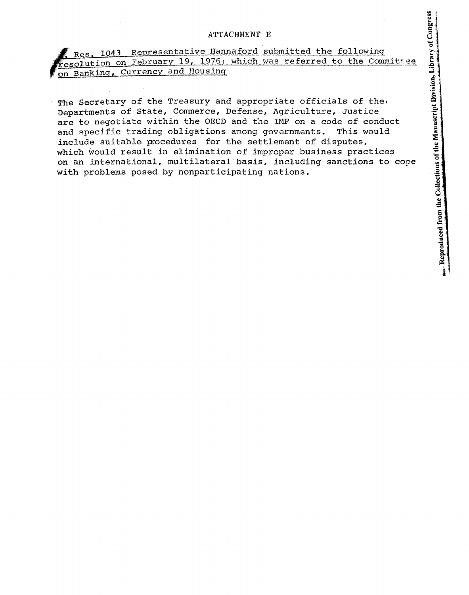# ATTACHMENT E

Res. 1043 Representative Hannaford submitted the following esolution on February 19, 1976; which was referred to the Committee on Banking, Currency and Housing

The Secretary of the Treasury and appropriate officials of the. Departments of State, Commerce, Defense, Agriculture, Justice are to negotiate within the OBCD and the IMF on a code of conduct and specific trading obligations among governments. This would include suitable procedures for the settlement of disputes, which would result in elimination of improper business practices on an international, multilateral'basis, including sanctions to cope with problems posed by nonparticipating nations.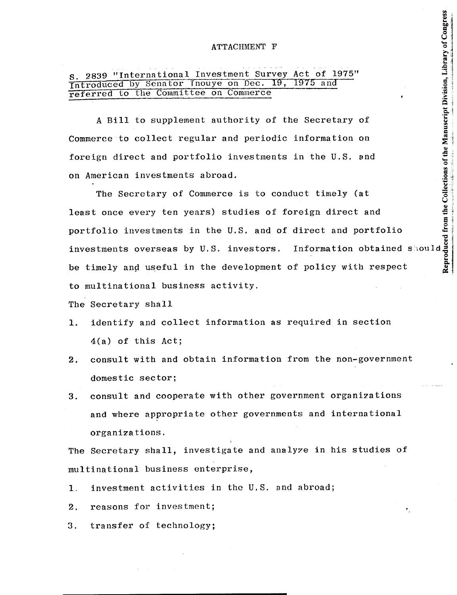s. 2839 "International Investment Survey Act of 1975"  $\frac{1}{\text{Introduced by Senator} \text{ (0)}\text{ (19)}}$ referred to the Committee on Commerce

A Bill to supplement authority of the Secretary of Commerce to collect regular and periodic information on foreign direct and portfolio investments in the U.S. snd on American investments abroad.

Reproduced from the Collections of the Manuscript Division, Library of Congress The Secretary of Commerce is to conduct timely (at least once every ten years) studies of foreign direct and portfolio investments in the U.S. and of direct and portfolio investments overseas by U.S. investors. Information obtained should be timely and useful in the development of policy with respect to multinational business activity.

The Secretary shall

- 1. identify and collect information as required in section 4(a) of this Act;
- 2. consult with and obtain information from the non-government domestic sector;
- 3. consult and cooperate with other government organizations and where appropriate other governments and international organizations.

The Secretary shall, investigate and analyze in his studies of multinational business enterprise,

- 1. investment activities in the U.S. and abroad;
- 2. reasons for investment;
- 3. transfer of technology;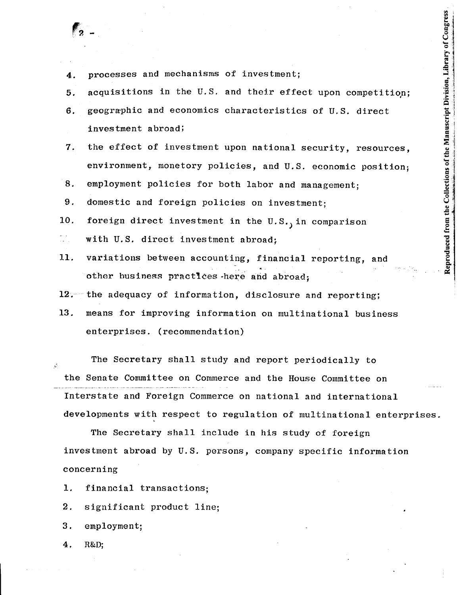- 4. processes and mechanisms of investment;
- $5.$  acquisitions in the U.S. and their effect upon competition;
- 6. geographic and economics characteristics of U.S. direct investment abroad;
- 7. the effect of investment upon national security, resources, environment, monetory policies, and U.S. economic position;
- 8. employment policies for both labor and management;
- 9. domestic and foreign policies on investment;
- 10. foreign direct investment in the  $U.S.$ , in comparison
- with U.S. direct investment abroad;
- 11. variations between accounting, financial reporting, and other business practices here and abroad;
- 12. the adequacy of information, disclosure and reporting;
- 13. means for improving information on multinational business enterprises. (recommendation)

The Secretary shall study and report periodically to the Senate Committee on Commerce and the House Committee on Interstate and Foreign Commerce on national and international developments with respect to regulation of multinational enterprises.

The Secretary shall include in his study of foreign investment abroad by U.S. persons, company specific information concerning

- 1. financial transactions;
- 2. significant product line;
- 3. employment;
- 4. R&D;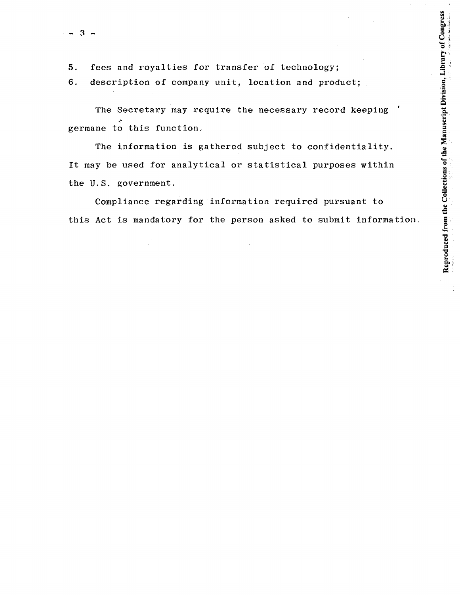$\frac{3}{2}$ 

5. fees and royalties for transfer of technology;

6. description of company unit, location and product;

The Secretary may require the necessary record keeping germane to this function.

The information is gathered subject to confidentiality. It may be used for analytical or statistical purposes within the U.S. government.

Compliance regarding information required pursuant to this Act is mandatory for the person asked to submit information.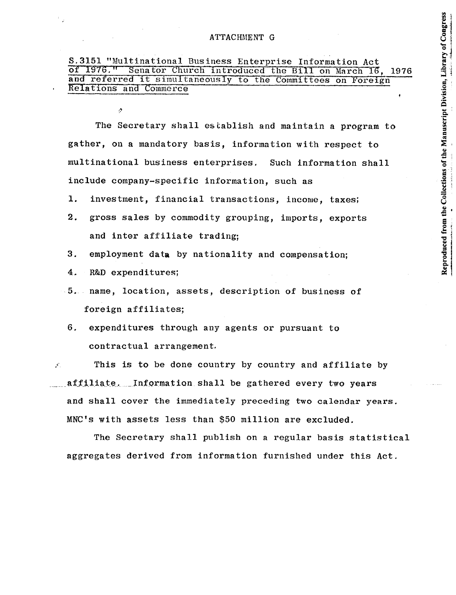The Secretary shall establish and maintain a program to gather, on a mandatory basis, information with respect to multinational business enterprises. Such information shall include company-specific information, such as

Reproduced from the Collections of the Manuscript Division, Library of Congress

- 1. investment, financial transactions, income, taxes;
- 2. gross sales by commodity grouping, imports, exports and inter affiliate trading;
- 3. employment data by nationality and compensation;
- 4. R&D expenditures;

Ą

- 5. name, location, assets, description of business of foreign affiliates;
- 6. expenditures through any agents or pursuant to contractual arrangement.

 $\mathcal{L}$  This is to be done country by country and affiliate by affiliate. Information shall be gathered every two years and shall cover the immediately preceding two calendar years. MNC's with assets less than \$50 million are excluded.

The Secretary shall publish on a regular basis statistical aggregates derived from information furnished under this Act.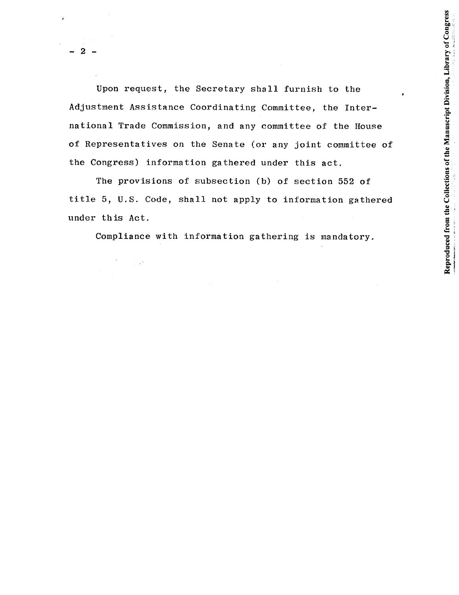Upon request, the Secretary shall furnish to the Adjustment Assistance Coordinating Committee, the International Trade Commission, and any committee of the House of Representatives on the Senate (or any joint committee of the Congress) information gathered under this act.

Reproduced from the Collections of the Manuscript Division, Library of Congress

The provisions of subsection (b) of section 552 of title 5, U.S. Code, shall not apply to information gathered under th is Act.

Compliance with information gathering is mandatory.

 $\bar{\mathcal{A}}$ 

 $\mathbb{R}^4$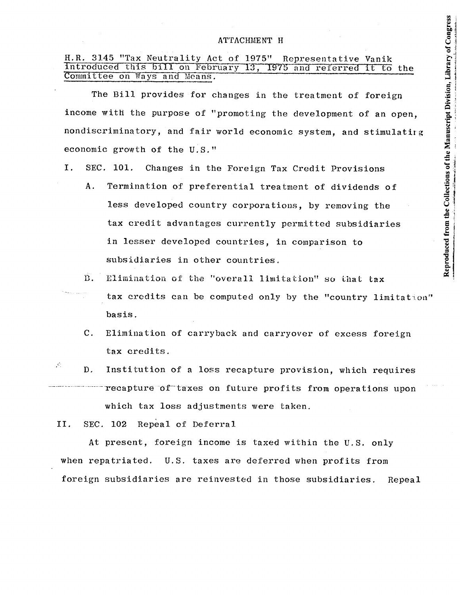### ATTACHMENT H

# R.R. 3145 "Tax Neutrality Act of 1975" Representative Yanik Introduced this bill on February 13, 1975 and referred it to the Committee on Ways and Means.

The Bill provides for changes in the treatment of foreign income with the purpose of "promoting the development of an open, nondiscriminatory, and fair world economic system, and stimulatirg economic growth of the U.S."

- I. SEC. 101. Changes in the Foreign Tax Credit Provisions
	- A. Termination of preferential treatment of dividends of less developed country corporations, by removing the tax credit advantages currently permitted subsidiaries in lesser developed countries, in comparison to subsidiaries in other countries.
	- n. Elimination of the "overall limitation" so that tax tax credits can be computed only by the "country limitation" basis.
		- C. Elimination of carryback and carryover of excess foreign tax credits.
- $\mathcal{L}$ D. Institution of a loss recapture provision, which requires recapture of taxes on future profits from operations upon which tax loss adjustments were taken.

II. SEC. 102 Repeal of Deferral

At present, foreign income is taxed within the U.S. only when repatriated. U.S. taxes are deferred when profits from foreign subsidiaries are reinvested in those subsidiaries. Repeal